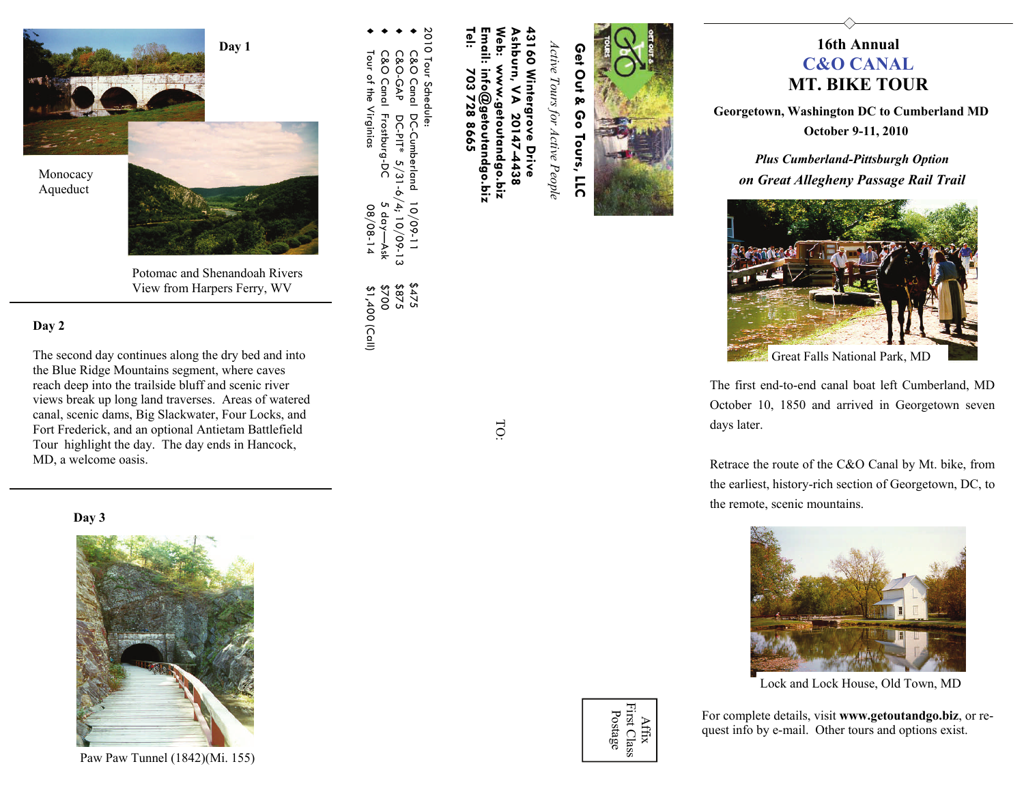

Potomac and Shenandoah Rivers View from Harpers Ferry, WV

## **Day 2**

The second day continues along the dry bed and into the Blue Ridge Mountains segment, where caves reach deep into the trailside bluff and scenic river views break up long land traverses. Areas of watered canal, scenic dams, Big Slackwater, Four Locks, and Fort Frederick, and an optional Antietam Battlefield Tour highlight the day. The day ends in Hancock, MD, a welcome oasis.

#### **Day 3**



Paw Paw Tunnel (1842)(Mi. 155)



 $\leq$ 20147-4438

**Tel: 703 728 8665 Email: info@getoutandgo.biz Web: www.getoutandgo.biz Ashburn, VA 20147-4438**  shburn, www.getoutandgo.biz nfo@getoutandgo.biz 28 8665

♦

♦

♦

♦

our of the Virginias

C&O Canal DC-Cumberland 10/09-11 \$475

10/09-11

 $2222$ <br>3872  $0023$ \$1,400 (Call)

C&O-GAP DC-PIT\* 5/31-6/4; 10/09-13 \$875

DC-PIT\* 5/31-6/4; 10/09-13

C&O Canal DC-Cumberland<br>C&O-GAP DC-PIT\* 5/31-4<br>C&O Canal Frostburg-DC

C&O Canal Frostburg-DC 5 day—Ask \$700

5 day-

Tour of the Virginias  $0.08^{+14}$  \$1,400 (Call)

 $08/08 - 14$ Äsk 2010 Tour Schedule:

010 Tour Schedule:

*Active Tours for Active People* 

TO:



# **16th Annual C&O CANALMT. BIKE TOUR**

**Georgetown, Washington DC to Cumberland MD October 9-11, 2010** 



Great Falls National Park, MD

The first end-to-end canal boat left Cumberland, MD October 10, 1850 and arrived in Georgetown seven days later.

Retrace the route of the C&O Canal by Mt. bike, from the earliest, history-rich section of Georgetown, DC, to the remote, scenic mountains.



Lock and Lock House, Old Town, MD

For complete details, visit **www.getoutandgo.biz**, or request info by e-mail. Other tours and options exist.